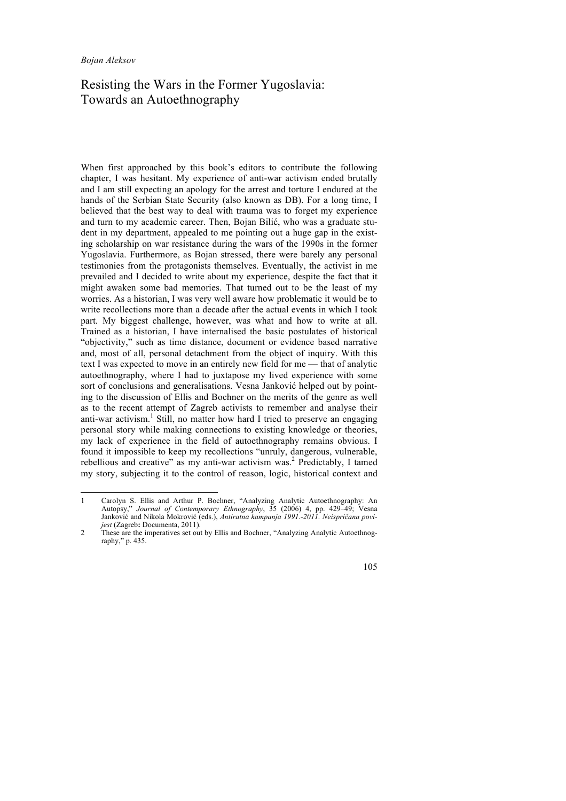## Resisting the Wars in the Former Yugoslavia: Towards an Autoethnography

When first approached by this book's editors to contribute the following chapter, I was hesitant. My experience of anti-war activism ended brutally and I am still expecting an apology for the arrest and torture I endured at the hands of the Serbian State Security (also known as DB). For a long time, I believed that the best way to deal with trauma was to forget my experience and turn to my academic career. Then, Bojan Bilić, who was a graduate student in my department, appealed to me pointing out a huge gap in the existing scholarship on war resistance during the wars of the 1990s in the former Yugoslavia. Furthermore, as Bojan stressed, there were barely any personal testimonies from the protagonists themselves. Eventually, the activist in me prevailed and I decided to write about my experience, despite the fact that it might awaken some bad memories. That turned out to be the least of my worries. As a historian, I was very well aware how problematic it would be to write recollections more than a decade after the actual events in which I took part. My biggest challenge, however, was what and how to write at all. Trained as a historian, I have internalised the basic postulates of historical "objectivity," such as time distance, document or evidence based narrative and, most of all, personal detachment from the object of inquiry. With this text I was expected to move in an entirely new field for me — that of analytic autoethnography, where I had to juxtapose my lived experience with some sort of conclusions and generalisations. Vesna Janković helped out by pointing to the discussion of Ellis and Bochner on the merits of the genre as well as to the recent attempt of Zagreb activists to remember and analyse their anti-war activism.<sup>1</sup> Still, no matter how hard I tried to preserve an engaging personal story while making connections to existing knowledge or theories, my lack of experience in the field of autoethnography remains obvious. I found it impossible to keep my recollections "unruly, dangerous, vulnerable, rebellious and creative" as my anti-war activism was.<sup>2</sup> Predictably, I tamed my story, subjecting it to the control of reason, logic, historical context and

 <sup>1</sup> Carolyn S. Ellis and Arthur P. Bochner, "Analyzing Analytic Autoethnography: An Autopsy," *Journal of Contemporary Ethnography*, 35 (2006) 4, pp. 429–49; Vesna Janković and Nikola Mokrović (eds.), *Antiratna kampanja 1991.-2011. Neispričana povijest* (Zagreb**:** Documenta, 2011).

<sup>2</sup> These are the imperatives set out by Ellis and Bochner, "Analyzing Analytic Autoethnography," p. 435.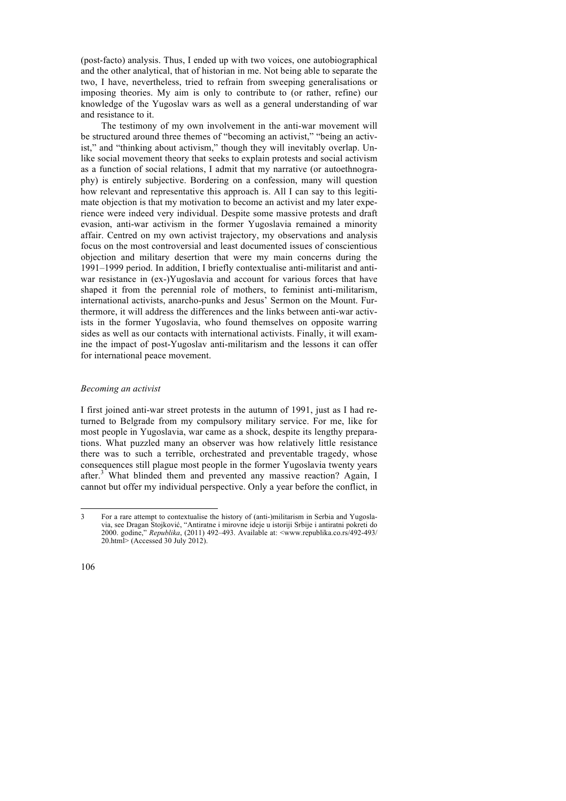(post-facto) analysis. Thus, I ended up with two voices, one autobiographical and the other analytical, that of historian in me. Not being able to separate the two, I have, nevertheless, tried to refrain from sweeping generalisations or imposing theories. My aim is only to contribute to (or rather, refine) our knowledge of the Yugoslav wars as well as a general understanding of war and resistance to it.

The testimony of my own involvement in the anti-war movement will be structured around three themes of "becoming an activist," "being an activist," and "thinking about activism," though they will inevitably overlap. Unlike social movement theory that seeks to explain protests and social activism as a function of social relations, I admit that my narrative (or autoethnography) is entirely subjective. Bordering on a confession, many will question how relevant and representative this approach is. All I can say to this legitimate objection is that my motivation to become an activist and my later experience were indeed very individual. Despite some massive protests and draft evasion, anti-war activism in the former Yugoslavia remained a minority affair. Centred on my own activist trajectory, my observations and analysis focus on the most controversial and least documented issues of conscientious objection and military desertion that were my main concerns during the 1991–1999 period. In addition, I briefly contextualise anti-militarist and antiwar resistance in (ex-)Yugoslavia and account for various forces that have shaped it from the perennial role of mothers, to feminist anti-militarism, international activists, anarcho-punks and Jesus' Sermon on the Mount. Furthermore, it will address the differences and the links between anti-war activists in the former Yugoslavia, who found themselves on opposite warring sides as well as our contacts with international activists. Finally, it will examine the impact of post-Yugoslav anti-militarism and the lessons it can offer for international peace movement.

## *Becoming an activist*

I first joined anti-war street protests in the autumn of 1991, just as I had returned to Belgrade from my compulsory military service. For me, like for most people in Yugoslavia, war came as a shock, despite its lengthy preparations. What puzzled many an observer was how relatively little resistance there was to such a terrible, orchestrated and preventable tragedy, whose consequences still plague most people in the former Yugoslavia twenty years after.<sup>3</sup> What blinded them and prevented any massive reaction? Again, I cannot but offer my individual perspective. Only a year before the conflict, in

 <sup>3</sup> For a rare attempt to contextualise the history of (anti-)militarism in Serbia and Yugoslavia, see Dragan Stojković, "Antiratne i mirovne ideje u istoriji Srbije i antiratni pokreti do 2000. godine," *Republika*, (2011) 492–493. Available at: <www.republika.co.rs/492-493/ 20.html> (Accessed 30 July 2012).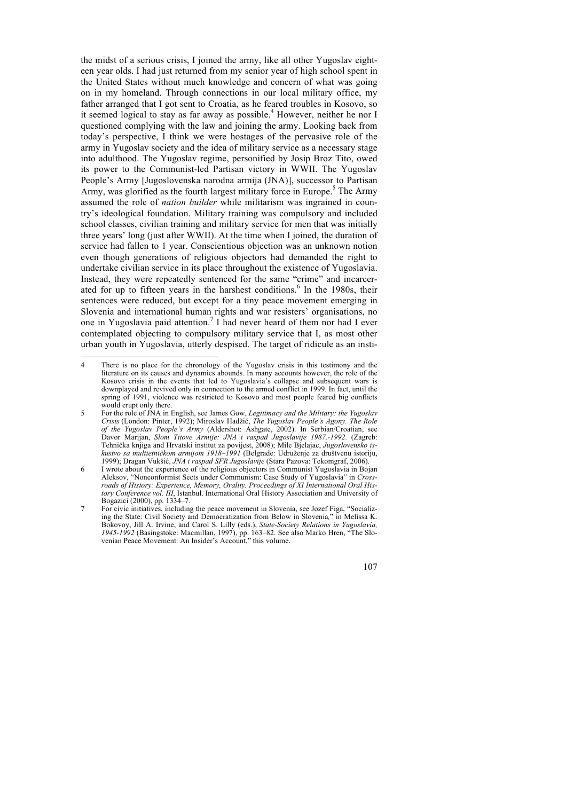the midst of a serious crisis, I joined the army, like all other Yugoslav eighteen year olds. I had just returned from my senior year of high school spent in the United States without much knowledge and concern of what was going on in my homeland. Through connections in our local military office, my father arranged that I got sent to Croatia, as he feared troubles in Kosovo, so it seemed logical to stay as far away as possible.<sup>4</sup> However, neither he nor I questioned complying with the law and joining the army. Looking back from today's perspective, I think we were hostages of the pervasive role of the army in Yugoslav society and the idea of military service as a necessary stage into adulthood. The Yugoslav regime, personified by Josip Broz Tito, owed its power to the Communist-led Partisan victory in WWII. The Yugoslav People's Army [Jugoslovenska narodna armija (JNA)], successor to Partisan Army, was glorified as the fourth largest military force in Europe.<sup>5</sup> The Army assumed the role of *nation builder* while militarism was ingrained in country's ideological foundation. Military training was compulsory and included school classes, civilian training and military service for men that was initially three years' long (just after WWII). At the time when I joined, the duration of service had fallen to 1 year. Conscientious objection was an unknown notion even though generations of religious objectors had demanded the right to undertake civilian service in its place throughout the existence of Yugoslavia. Instead, they were repeatedly sentenced for the same "crime" and incarcerated for up to fifteen years in the harshest conditions.<sup>6</sup> In the 1980s, their sentences were reduced, but except for a tiny peace movement emerging in Slovenia and international human rights and war resisters' organisations, no one in Yugoslavia paid attention.<sup>7</sup> I had never heard of them nor had I ever contemplated objecting to compulsory military service that I, as most other urban youth in Yugoslavia, utterly despised. The target of ridicule as an insti-

 <sup>4</sup> There is no place for the chronology of the Yugoslav crisis in this testimony and the literature on its causes and dynamics abounds. In many accounts however, the role of the Kosovo crisis in the events that led to Yugoslavia's collapse and subsequent wars is downplayed and revived only in connection to the armed conflict in 1999. In fact, until the spring of 1991, violence was restricted to Kosovo and most people feared big conflicts would erupt only there.

<sup>5</sup> For the role of JNA in English, see James Gow, *Legitimacy and the Military: the Yugoslav Crisis* (London: Pinter, 1992); Miroslav Hadžić, *The Yugoslav People's Agony. The Role of the Yugoslav People's Army* (Aldershot: Ashgate, 2002). In Serbian/Croatian, see Davor Marijan, *Slom Titove Armije: JNA i raspad Jugoslavije 1987.-1992.* (Zagreb: Tehnička knjiga and Hrvatski institut za povijest, 2008); Mile Bjelajac, *Jugoslovensko iskustvo sa multietničkom armijom 1918–1991* (Belgrade: Udruženje za društvenu istoriju, 1999); Dragan Vukšić, *JNA i raspad SFR Jugoslavije* (Stara Pazova: Tekomgraf, 2006).

<sup>6</sup> I wrote about the experience of the religious objectors in Communist Yugoslavia in Bojan Aleksov, "Nonconformist Sects under Communism: Case Study of Yugoslavia" in *Crossroads of History: Experience, Memory, Orality. Proceedings of XI International Oral History Conference vol. III*, Istanbul. International Oral History Association and University of Bogazici (2000), pp. 1334–7.

<sup>7</sup> For civic initiatives, including the peace movement in Slovenia, see Jozef Figa, "Socializing the State: Civil Society and Democratization from Below in Slovenia*,*" in Melissa K. Bokovoy, Jill A. Irvine, and Carol S. Lilly (eds.), *State-Society Relations in Yugoslavia, 1945-1992* (Basingstoke: Macmillan, 1997), pp. 163–82. See also Marko Hren, "The Slovenian Peace Movement: An Insider's Account," this volume.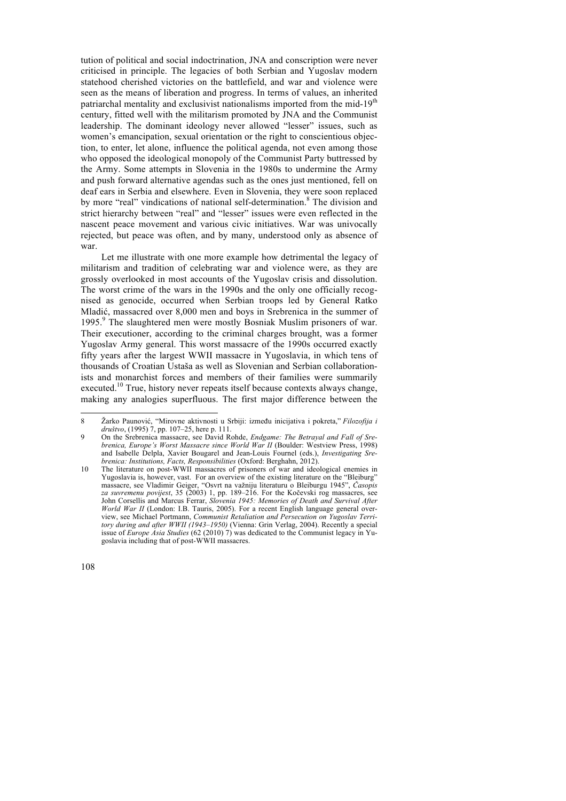tution of political and social indoctrination, JNA and conscription were never criticised in principle. The legacies of both Serbian and Yugoslav modern statehood cherished victories on the battlefield, and war and violence were seen as the means of liberation and progress. In terms of values, an inherited patriarchal mentality and exclusivist nationalisms imported from the mid-19<sup>th</sup> century, fitted well with the militarism promoted by JNA and the Communist leadership. The dominant ideology never allowed "lesser" issues, such as women's emancipation, sexual orientation or the right to conscientious objection, to enter, let alone, influence the political agenda, not even among those who opposed the ideological monopoly of the Communist Party buttressed by the Army. Some attempts in Slovenia in the 1980s to undermine the Army and push forward alternative agendas such as the ones just mentioned, fell on deaf ears in Serbia and elsewhere. Even in Slovenia, they were soon replaced by more "real" vindications of national self-determination.<sup>8</sup> The division and strict hierarchy between "real" and "lesser" issues were even reflected in the nascent peace movement and various civic initiatives. War was univocally rejected, but peace was often, and by many, understood only as absence of war.

Let me illustrate with one more example how detrimental the legacy of militarism and tradition of celebrating war and violence were, as they are grossly overlooked in most accounts of the Yugoslav crisis and dissolution. The worst crime of the wars in the 1990s and the only one officially recognised as genocide, occurred when Serbian troops led by General Ratko Mladić, massacred over 8,000 men and boys in Srebrenica in the summer of 1995.<sup>9</sup> The slaughtered men were mostly Bosniak Muslim prisoners of war. Their executioner, according to the criminal charges brought, was a former Yugoslav Army general. This worst massacre of the 1990s occurred exactly fifty years after the largest WWII massacre in Yugoslavia, in which tens of thousands of Croatian Ustaša as well as Slovenian and Serbian collaborationists and monarchist forces and members of their families were summarily executed.<sup>10</sup> True, history never repeats itself because contexts always change, making any analogies superfluous. The first major difference between the

 <sup>8</sup> <sup>Ž</sup>arko Paunović, "Mirovne aktivnosti u Srbiji: između inicijativa i pokreta," *Filozofija i društvo*, (1995) 7, pp. 107–25, here p. 111.

<sup>9</sup> On the Srebrenica massacre, see David Rohde, *Endgame: The Betrayal and Fall of Srebrenica, Europe's Worst Massacre since World War II* (Boulder: Westview Press, 1998) and Isabelle Delpla, Xavier Bougarel and Jean-Louis Fournel (eds.), *Investigating Srebrenica: Institutions, Facts, Responsibilities* (Oxford: Berghahn, 2012).

<sup>10</sup> The literature on post-WWII massacres of prisoners of war and ideological enemies in Yugoslavia is, however, vast. For an overview of the existing literature on the "Bleiburg" massacre, see Vladimir Geiger, "Osvrt na važniju literaturu o Bleiburgu 1945", *Časopis za suvremenu povijest*, 35 (2003) 1, pp. 189–216. For the Kočevski rog massacres, see John Corsellis and Marcus Ferrar, *Slovenia 1945: Memories of Death and Survival After World War II* (London: I.B. Tauris, 2005). For a recent English language general overview, see Michael Portmann, *Communist Retaliation and Persecution on Yugoslav Territory during and after WWII (1943–1950)* (Vienna: Grin Verlag, 2004). Recently a special issue of *Europe Asia Studies* (62 (2010) 7) was dedicated to the Communist legacy in Yugoslavia including that of post-WWII massacres.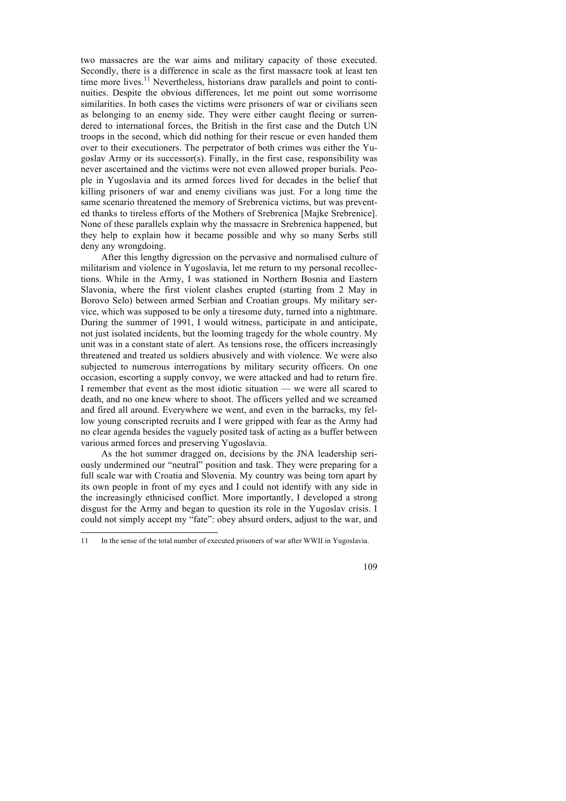two massacres are the war aims and military capacity of those executed. Secondly, there is a difference in scale as the first massacre took at least ten time more lives.<sup>11</sup> Nevertheless, historians draw parallels and point to continuities. Despite the obvious differences, let me point out some worrisome similarities. In both cases the victims were prisoners of war or civilians seen as belonging to an enemy side. They were either caught fleeing or surrendered to international forces, the British in the first case and the Dutch UN troops in the second, which did nothing for their rescue or even handed them over to their executioners. The perpetrator of both crimes was either the Yugoslav Army or its successor(s). Finally, in the first case, responsibility was never ascertained and the victims were not even allowed proper burials. People in Yugoslavia and its armed forces lived for decades in the belief that killing prisoners of war and enemy civilians was just. For a long time the same scenario threatened the memory of Srebrenica victims, but was prevented thanks to tireless efforts of the Mothers of Srebrenica [Majke Srebrenice]. None of these parallels explain why the massacre in Srebrenica happened, but they help to explain how it became possible and why so many Serbs still deny any wrongdoing.

After this lengthy digression on the pervasive and normalised culture of militarism and violence in Yugoslavia, let me return to my personal recollections. While in the Army, I was stationed in Northern Bosnia and Eastern Slavonia, where the first violent clashes erupted (starting from 2 May in Borovo Selo) between armed Serbian and Croatian groups. My military service, which was supposed to be only a tiresome duty, turned into a nightmare. During the summer of 1991, I would witness, participate in and anticipate, not just isolated incidents, but the looming tragedy for the whole country. My unit was in a constant state of alert. As tensions rose, the officers increasingly threatened and treated us soldiers abusively and with violence. We were also subjected to numerous interrogations by military security officers. On one occasion, escorting a supply convoy, we were attacked and had to return fire. I remember that event as the most idiotic situation — we were all scared to death, and no one knew where to shoot. The officers yelled and we screamed and fired all around. Everywhere we went, and even in the barracks, my fellow young conscripted recruits and I were gripped with fear as the Army had no clear agenda besides the vaguely posited task of acting as a buffer between various armed forces and preserving Yugoslavia.

As the hot summer dragged on, decisions by the JNA leadership seriously undermined our "neutral" position and task. They were preparing for a full scale war with Croatia and Slovenia. My country was being torn apart by its own people in front of my eyes and I could not identify with any side in the increasingly ethnicised conflict. More importantly, I developed a strong disgust for the Army and began to question its role in the Yugoslav crisis. I could not simply accept my "fate": obey absurd orders, adjust to the war, and

 <sup>11</sup> In the sense of the total number of executed prisoners of war after WWII in Yugoslavia.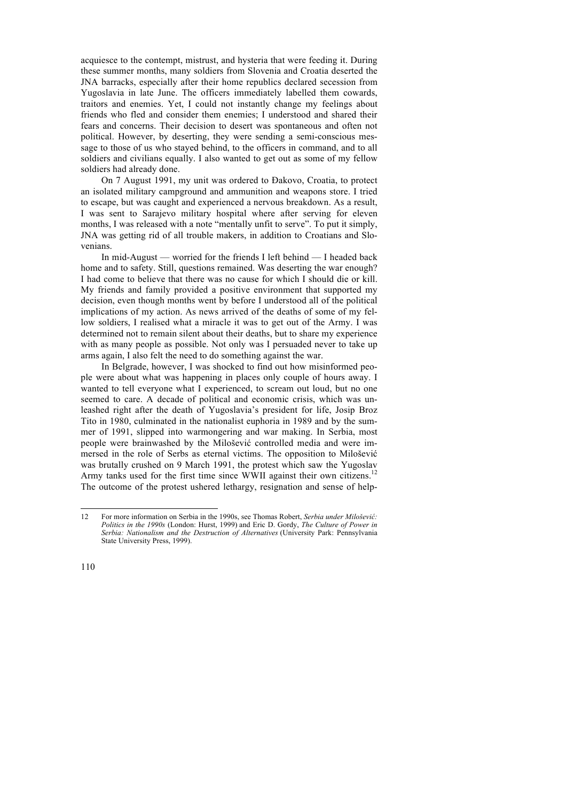acquiesce to the contempt, mistrust, and hysteria that were feeding it. During these summer months, many soldiers from Slovenia and Croatia deserted the JNA barracks, especially after their home republics declared secession from Yugoslavia in late June. The officers immediately labelled them cowards, traitors and enemies. Yet, I could not instantly change my feelings about friends who fled and consider them enemies; I understood and shared their fears and concerns. Their decision to desert was spontaneous and often not political. However, by deserting, they were sending a semi-conscious message to those of us who stayed behind, to the officers in command, and to all soldiers and civilians equally. I also wanted to get out as some of my fellow soldiers had already done.

On 7 August 1991, my unit was ordered to Đakovo, Croatia, to protect an isolated military campground and ammunition and weapons store. I tried to escape, but was caught and experienced a nervous breakdown. As a result, I was sent to Sarajevo military hospital where after serving for eleven months, I was released with a note "mentally unfit to serve". To put it simply, JNA was getting rid of all trouble makers, in addition to Croatians and Slovenians.

In mid-August — worried for the friends I left behind — I headed back home and to safety. Still, questions remained. Was deserting the war enough? I had come to believe that there was no cause for which I should die or kill. My friends and family provided a positive environment that supported my decision, even though months went by before I understood all of the political implications of my action. As news arrived of the deaths of some of my fellow soldiers, I realised what a miracle it was to get out of the Army. I was determined not to remain silent about their deaths, but to share my experience with as many people as possible. Not only was I persuaded never to take up arms again, I also felt the need to do something against the war.

In Belgrade, however, I was shocked to find out how misinformed people were about what was happening in places only couple of hours away. I wanted to tell everyone what I experienced, to scream out loud, but no one seemed to care. A decade of political and economic crisis, which was unleashed right after the death of Yugoslavia's president for life, Josip Broz Tito in 1980, culminated in the nationalist euphoria in 1989 and by the summer of 1991, slipped into warmongering and war making. In Serbia, most people were brainwashed by the Milošević controlled media and were immersed in the role of Serbs as eternal victims. The opposition to Milošević was brutally crushed on 9 March 1991, the protest which saw the Yugoslav Army tanks used for the first time since WWII against their own citizens.<sup>12</sup> The outcome of the protest ushered lethargy, resignation and sense of help-

 <sup>12</sup> For more information on Serbia in the 1990s, see Thomas Robert, *Serbia under Milošević: Politics in the 1990s* (London: Hurst, 1999) and Eric D. Gordy, *The Culture of Power in Serbia: Nationalism and the Destruction of Alternatives* (University Park: Pennsylvania State University Press, 1999).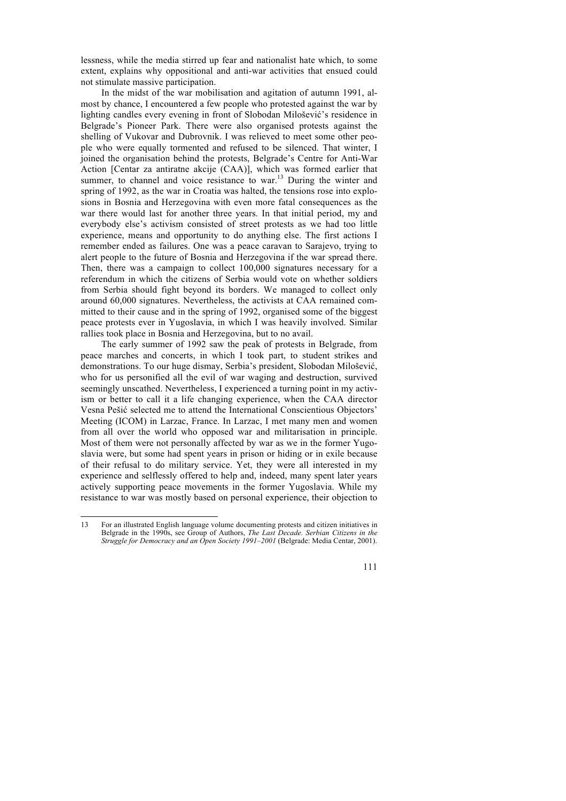lessness, while the media stirred up fear and nationalist hate which, to some extent, explains why oppositional and anti-war activities that ensued could not stimulate massive participation.

In the midst of the war mobilisation and agitation of autumn 1991, almost by chance, I encountered a few people who protested against the war by lighting candles every evening in front of Slobodan Milošević's residence in Belgrade's Pioneer Park. There were also organised protests against the shelling of Vukovar and Dubrovnik. I was relieved to meet some other people who were equally tormented and refused to be silenced. That winter, I joined the organisation behind the protests, Belgrade's Centre for Anti-War Action [Centar za antiratne akcije (CAA)], which was formed earlier that summer, to channel and voice resistance to war.<sup>13</sup> During the winter and spring of 1992, as the war in Croatia was halted, the tensions rose into explosions in Bosnia and Herzegovina with even more fatal consequences as the war there would last for another three years. In that initial period, my and everybody else's activism consisted of street protests as we had too little experience, means and opportunity to do anything else. The first actions I remember ended as failures. One was a peace caravan to Sarajevo, trying to alert people to the future of Bosnia and Herzegovina if the war spread there. Then, there was a campaign to collect 100,000 signatures necessary for a referendum in which the citizens of Serbia would vote on whether soldiers from Serbia should fight beyond its borders. We managed to collect only around 60,000 signatures. Nevertheless, the activists at CAA remained committed to their cause and in the spring of 1992, organised some of the biggest peace protests ever in Yugoslavia, in which I was heavily involved. Similar rallies took place in Bosnia and Herzegovina, but to no avail.

The early summer of 1992 saw the peak of protests in Belgrade, from peace marches and concerts, in which I took part, to student strikes and demonstrations. To our huge dismay, Serbia's president, Slobodan Milošević, who for us personified all the evil of war waging and destruction, survived seemingly unscathed. Nevertheless, I experienced a turning point in my activism or better to call it a life changing experience, when the CAA director Vesna Pešić selected me to attend the International Conscientious Objectors' Meeting (ICOM) in Larzac, France. In Larzac, I met many men and women from all over the world who opposed war and militarisation in principle. Most of them were not personally affected by war as we in the former Yugoslavia were, but some had spent years in prison or hiding or in exile because of their refusal to do military service. Yet, they were all interested in my experience and selflessly offered to help and, indeed, many spent later years actively supporting peace movements in the former Yugoslavia. While my resistance to war was mostly based on personal experience, their objection to

 <sup>13</sup> For an illustrated English language volume documenting protests and citizen initiatives in Belgrade in the 1990s, see Group of Authors, *The Last Decade. Serbian Citizens in the Struggle for Democracy and an Open Society 1991–2001* (Belgrade: Media Centar, 2001).

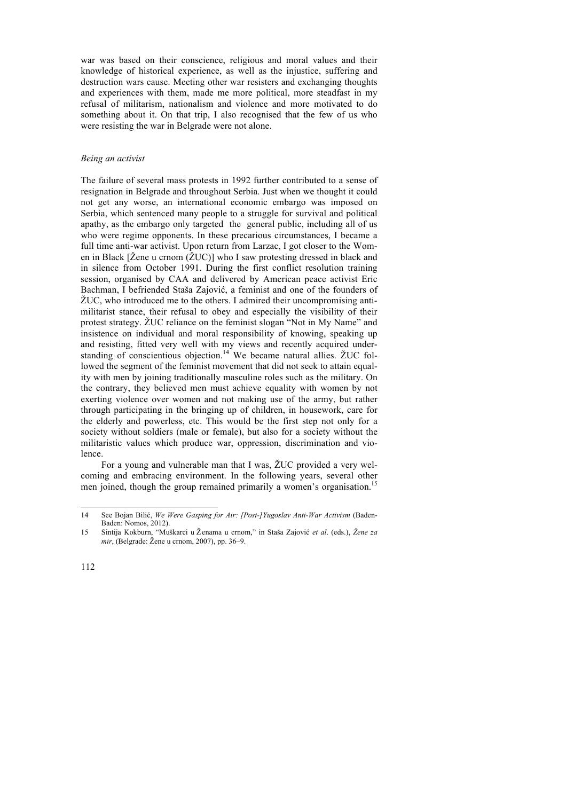war was based on their conscience, religious and moral values and their knowledge of historical experience, as well as the injustice, suffering and destruction wars cause. Meeting other war resisters and exchanging thoughts and experiences with them, made me more political, more steadfast in my refusal of militarism, nationalism and violence and more motivated to do something about it. On that trip, I also recognised that the few of us who were resisting the war in Belgrade were not alone.

## *Being an activist*

The failure of several mass protests in 1992 further contributed to a sense of resignation in Belgrade and throughout Serbia. Just when we thought it could not get any worse, an international economic embargo was imposed on Serbia, which sentenced many people to a struggle for survival and political apathy, as the embargo only targeted the general public, including all of us who were regime opponents. In these precarious circumstances, I became a full time anti-war activist. Upon return from Larzac, I got closer to the Women in Black [Žene u crnom (ŽUC)] who I saw protesting dressed in black and in silence from October 1991. During the first conflict resolution training session, organised by CAA and delivered by American peace activist Eric Bachman, I befriended Staša Zajović, a feminist and one of the founders of ŽUC, who introduced me to the others. I admired their uncompromising antimilitarist stance, their refusal to obey and especially the visibility of their protest strategy. ŽUC reliance on the feminist slogan "Not in My Name" and insistence on individual and moral responsibility of knowing, speaking up and resisting, fitted very well with my views and recently acquired understanding of conscientious objection.<sup>14</sup> We became natural allies. ŽUC followed the segment of the feminist movement that did not seek to attain equality with men by joining traditionally masculine roles such as the military. On the contrary, they believed men must achieve equality with women by not exerting violence over women and not making use of the army, but rather through participating in the bringing up of children, in housework, care for the elderly and powerless, etc. This would be the first step not only for a society without soldiers (male or female), but also for a society without the militaristic values which produce war, oppression, discrimination and violence.

For a young and vulnerable man that I was, ŽUC provided a very welcoming and embracing environment. In the following years, several other men joined, though the group remained primarily a women's organisation.<sup>15</sup>

<sup>14</sup> See Bojan Bilić, *We Were Gasping for Air: [Post-]Yugoslav Anti-War Activism* (Baden-Baden: Nomos, 2012).

<sup>15</sup> Sintija Kokburn, "Muškarci u Ženama u crnom," in Staša Zajović *et al*. (eds.), *Žene za mir*, (Belgrade: Žene u crnom, 2007), pp. 36–9.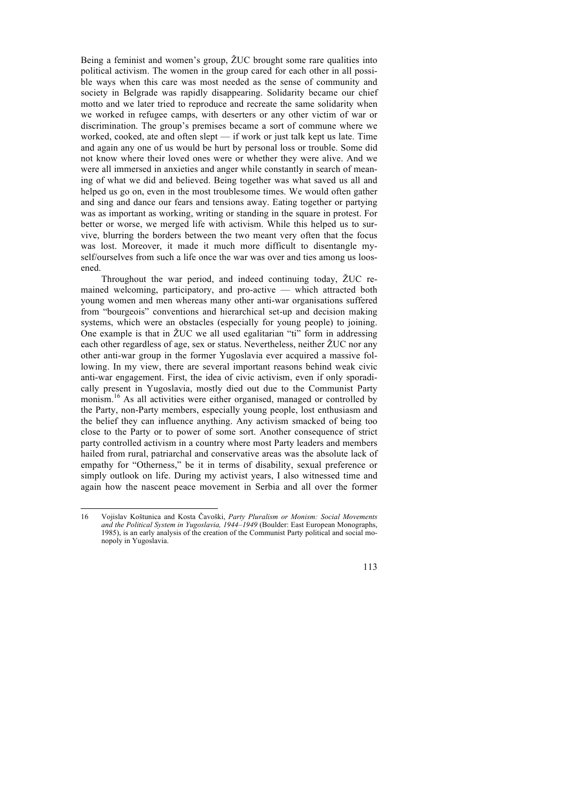Being a feminist and women's group, ŽUC brought some rare qualities into political activism. The women in the group cared for each other in all possible ways when this care was most needed as the sense of community and society in Belgrade was rapidly disappearing. Solidarity became our chief motto and we later tried to reproduce and recreate the same solidarity when we worked in refugee camps, with deserters or any other victim of war or discrimination. The group's premises became a sort of commune where we worked, cooked, ate and often slept — if work or just talk kept us late. Time and again any one of us would be hurt by personal loss or trouble. Some did not know where their loved ones were or whether they were alive. And we were all immersed in anxieties and anger while constantly in search of meaning of what we did and believed. Being together was what saved us all and helped us go on, even in the most troublesome times. We would often gather and sing and dance our fears and tensions away. Eating together or partying was as important as working, writing or standing in the square in protest. For better or worse, we merged life with activism. While this helped us to survive, blurring the borders between the two meant very often that the focus was lost. Moreover, it made it much more difficult to disentangle myself/ourselves from such a life once the war was over and ties among us loosened.

Throughout the war period, and indeed continuing today, ŽUC remained welcoming, participatory, and pro-active — which attracted both young women and men whereas many other anti-war organisations suffered from "bourgeois" conventions and hierarchical set-up and decision making systems, which were an obstacles (especially for young people) to joining. One example is that in  $\zeta$ UC we all used egalitarian "ti" form in addressing each other regardless of age, sex or status. Nevertheless, neither ŽUC nor any other anti-war group in the former Yugoslavia ever acquired a massive following. In my view, there are several important reasons behind weak civic anti-war engagement. First, the idea of civic activism, even if only sporadically present in Yugoslavia, mostly died out due to the Communist Party monism.<sup>16</sup> As all activities were either organised, managed or controlled by the Party, non-Party members, especially young people, lost enthusiasm and the belief they can influence anything. Any activism smacked of being too close to the Party or to power of some sort. Another consequence of strict party controlled activism in a country where most Party leaders and members hailed from rural, patriarchal and conservative areas was the absolute lack of empathy for "Otherness," be it in terms of disability, sexual preference or simply outlook on life. During my activist years, I also witnessed time and again how the nascent peace movement in Serbia and all over the former

 <sup>16</sup> Vojislav Koštunica and Kosta Čavoški, *Party Pluralism or Monism: Social Movements and the Political System in Yugoslavia, 1944–1949* (Boulder: East European Monographs, 1985), is an early analysis of the creation of the Communist Party political and social monopoly in Yugoslavia.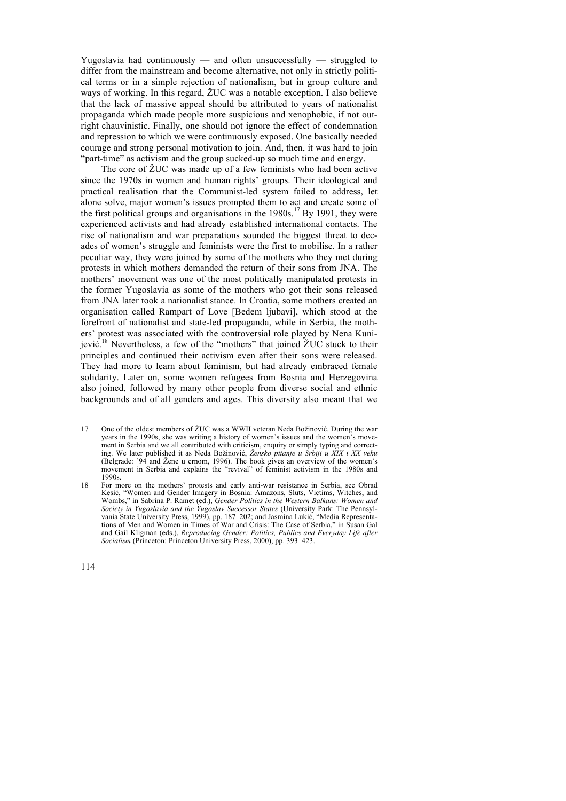Yugoslavia had continuously — and often unsuccessfully — struggled to differ from the mainstream and become alternative, not only in strictly political terms or in a simple rejection of nationalism, but in group culture and ways of working. In this regard, ŽUC was a notable exception. I also believe that the lack of massive appeal should be attributed to years of nationalist propaganda which made people more suspicious and xenophobic, if not outright chauvinistic. Finally, one should not ignore the effect of condemnation and repression to which we were continuously exposed. One basically needed courage and strong personal motivation to join. And, then, it was hard to join "part-time" as activism and the group sucked-up so much time and energy.

The core of ŽUC was made up of a few feminists who had been active since the 1970s in women and human rights' groups. Their ideological and practical realisation that the Communist-led system failed to address, let alone solve, major women's issues prompted them to act and create some of the first political groups and organisations in the  $1980s$ .<sup>17</sup> By 1991, they were experienced activists and had already established international contacts. The rise of nationalism and war preparations sounded the biggest threat to decades of women's struggle and feminists were the first to mobilise. In a rather peculiar way, they were joined by some of the mothers who they met during protests in which mothers demanded the return of their sons from JNA. The mothers' movement was one of the most politically manipulated protests in the former Yugoslavia as some of the mothers who got their sons released from JNA later took a nationalist stance. In Croatia, some mothers created an organisation called Rampart of Love [Bedem ljubavi], which stood at the forefront of nationalist and state-led propaganda, while in Serbia, the mothers' protest was associated with the controversial role played by Nena Kunijević.<sup>18</sup> Nevertheless, a few of the "mothers" that joined ŽUC stuck to their principles and continued their activism even after their sons were released. They had more to learn about feminism, but had already embraced female solidarity. Later on, some women refugees from Bosnia and Herzegovina also joined, followed by many other people from diverse social and ethnic backgrounds and of all genders and ages. This diversity also meant that we

 <sup>17</sup> One of the oldest members of ŽUC was a WWII veteran Neda Božinović. During the war years in the 1990s, she was writing a history of women's issues and the women's movement in Serbia and we all contributed with criticism, enquiry or simply typing and correcting. We later published it as Neda Božinović, *Žensko pitanje u Srbiji u XIX i XX veku* (Belgrade: '94 and Žene u crnom, 1996). The book gives an overview of the women's movement in Serbia and explains the "revival" of feminist activism in the 1980s and 1990s.

<sup>18</sup> For more on the mothers' protests and early anti-war resistance in Serbia, see Obrad Kesić, "Women and Gender Imagery in Bosnia: Amazons, Sluts, Victims, Witches, and Wombs," in Sabrina P. Ramet (ed.), *Gender Politics in the Western Balkans: Women and Society in Yugoslavia and the Yugoslav Successor States* (University Park: The Pennsylvania State University Press, 1999), pp. 187–202; and Jasmina Lukić, "Media Representations of Men and Women in Times of War and Crisis: The Case of Serbia," in Susan Gal and Gail Kligman (eds.), *Reproducing Gender: Politics, Publics and Everyday Life after Socialism* (Princeton: Princeton University Press, 2000), pp. 393–423.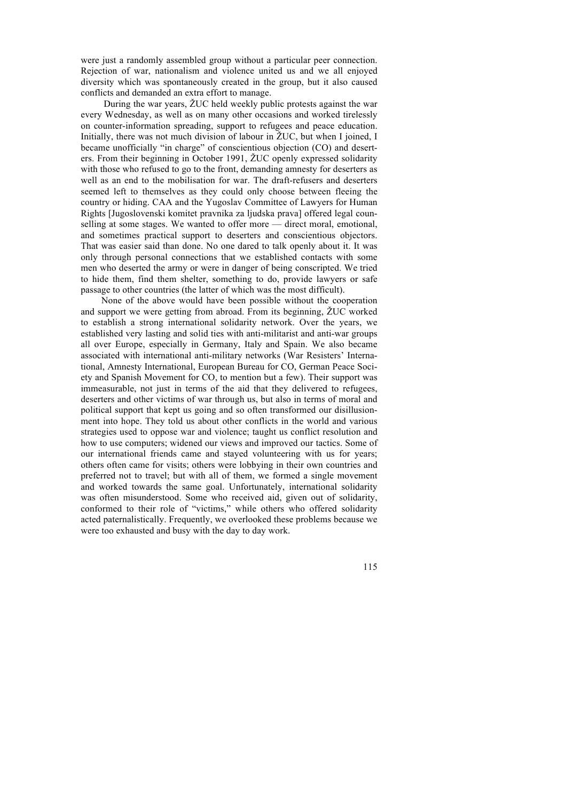were just a randomly assembled group without a particular peer connection. Rejection of war, nationalism and violence united us and we all enjoyed diversity which was spontaneously created in the group, but it also caused conflicts and demanded an extra effort to manage.

During the war years, ŽUC held weekly public protests against the war every Wednesday, as well as on many other occasions and worked tirelessly on counter-information spreading, support to refugees and peace education. Initially, there was not much division of labour in ŽUC, but when I joined, I became unofficially "in charge" of conscientious objection (CO) and deserters. From their beginning in October 1991, ŽUC openly expressed solidarity with those who refused to go to the front, demanding amnesty for deserters as well as an end to the mobilisation for war. The draft-refusers and deserters seemed left to themselves as they could only choose between fleeing the country or hiding. CAA and the Yugoslav Committee of Lawyers for Human Rights [Jugoslovenski komitet pravnika za ljudska prava] offered legal counselling at some stages. We wanted to offer more — direct moral, emotional, and sometimes practical support to deserters and conscientious objectors. That was easier said than done. No one dared to talk openly about it. It was only through personal connections that we established contacts with some men who deserted the army or were in danger of being conscripted. We tried to hide them, find them shelter, something to do, provide lawyers or safe passage to other countries (the latter of which was the most difficult).

None of the above would have been possible without the cooperation and support we were getting from abroad. From its beginning, ŽUC worked to establish a strong international solidarity network. Over the years, we established very lasting and solid ties with anti-militarist and anti-war groups all over Europe, especially in Germany, Italy and Spain. We also became associated with international anti-military networks (War Resisters' International, Amnesty International, European Bureau for CO, German Peace Society and Spanish Movement for CO, to mention but a few). Their support was immeasurable, not just in terms of the aid that they delivered to refugees, deserters and other victims of war through us, but also in terms of moral and political support that kept us going and so often transformed our disillusionment into hope. They told us about other conflicts in the world and various strategies used to oppose war and violence; taught us conflict resolution and how to use computers; widened our views and improved our tactics. Some of our international friends came and stayed volunteering with us for years; others often came for visits; others were lobbying in their own countries and preferred not to travel; but with all of them, we formed a single movement and worked towards the same goal. Unfortunately, international solidarity was often misunderstood. Some who received aid, given out of solidarity, conformed to their role of "victims," while others who offered solidarity acted paternalistically. Frequently, we overlooked these problems because we were too exhausted and busy with the day to day work.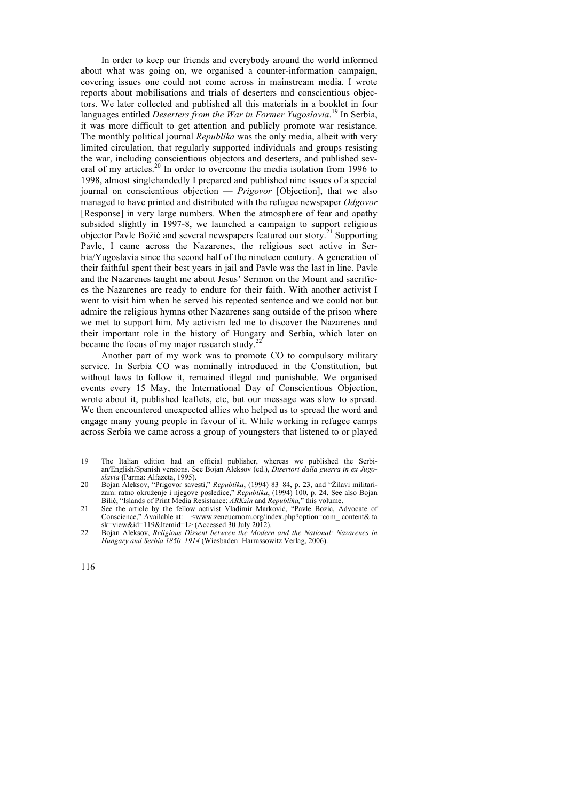In order to keep our friends and everybody around the world informed about what was going on, we organised a counter-information campaign, covering issues one could not come across in mainstream media. I wrote reports about mobilisations and trials of deserters and conscientious objectors. We later collected and published all this materials in a booklet in four languages entitled *Deserters from the War in Former Yugoslavia*. <sup>19</sup> In Serbia, it was more difficult to get attention and publicly promote war resistance. The monthly political journal *Republika* was the only media, albeit with very limited circulation, that regularly supported individuals and groups resisting the war, including conscientious objectors and deserters, and published several of my articles.<sup>20</sup> In order to overcome the media isolation from 1996 to 1998, almost singlehandedly I prepared and published nine issues of a special journal on conscientious objection — *Prigovor* [Objection], that we also managed to have printed and distributed with the refugee newspaper *Odgovor* [Response] in very large numbers. When the atmosphere of fear and apathy subsided slightly in 1997-8, we launched a campaign to support religious objector Pavle Božić and several newspapers featured our story.<sup>21</sup> Supporting Pavle, I came across the Nazarenes, the religious sect active in Serbia/Yugoslavia since the second half of the nineteen century. A generation of their faithful spent their best years in jail and Pavle was the last in line. Pavle and the Nazarenes taught me about Jesus' Sermon on the Mount and sacrifices the Nazarenes are ready to endure for their faith. With another activist I went to visit him when he served his repeated sentence and we could not but admire the religious hymns other Nazarenes sang outside of the prison where we met to support him. My activism led me to discover the Nazarenes and their important role in the history of Hungary and Serbia, which later on became the focus of my major research study. $^{2}$ 

Another part of my work was to promote CO to compulsory military service. In Serbia CO was nominally introduced in the Constitution, but without laws to follow it, remained illegal and punishable. We organised events every 15 May, the International Day of Conscientious Objection, wrote about it, published leaflets, etc, but our message was slow to spread. We then encountered unexpected allies who helped us to spread the word and engage many young people in favour of it. While working in refugee camps across Serbia we came across a group of youngsters that listened to or played

 <sup>19</sup> The Italian edition had an official publisher, whereas we published the Serbian/English/Spanish versions. See Bojan Aleksov (ed.), *Disertori dalla guerra in ex Jugoslavia* **(**Parma: Alfazeta, 1995).

<sup>20</sup> Bojan Aleksov, "Prigovor savesti," *Republika*, (1994) 83–84, p. 23, and "Žilavi militarizam: ratno okruženje i njegove posledice," *Republika*, (1994) 100, p. 24. See also Bojan Bilić, "Islands of Print Media Resistance: *ARKzin* and *Republika,*" this volume.

<sup>21</sup> See the article by the fellow activist Vladimir Marković, "Pavle Bozic, Advocate of Conscience," Available at: <www.zeneucrnom.org/index.php?option=com\_ content& ta sk=view&id=119&Itemid=1> (Accessed 30 July 2012).

<sup>22</sup> Bojan Aleksov, *Religious Dissent between the Modern and the National: Nazarenes in Hungary and Serbia 1850–1914* (Wiesbaden: Harrassowitz Verlag, 2006).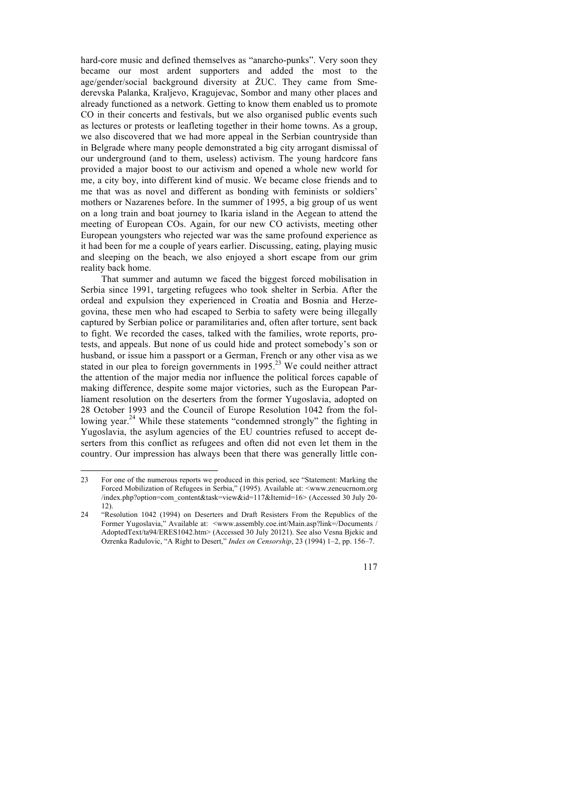hard-core music and defined themselves as "anarcho-punks". Very soon they became our most ardent supporters and added the most to the age/gender/social background diversity at ŽUC. They came from Smederevska Palanka, Kraljevo, Kragujevac, Sombor and many other places and already functioned as a network. Getting to know them enabled us to promote CO in their concerts and festivals, but we also organised public events such as lectures or protests or leafleting together in their home towns. As a group, we also discovered that we had more appeal in the Serbian countryside than in Belgrade where many people demonstrated a big city arrogant dismissal of our underground (and to them, useless) activism. The young hardcore fans provided a major boost to our activism and opened a whole new world for me, a city boy, into different kind of music. We became close friends and to me that was as novel and different as bonding with feminists or soldiers' mothers or Nazarenes before. In the summer of 1995, a big group of us went on a long train and boat journey to Ikaria island in the Aegean to attend the meeting of European COs. Again, for our new CO activists, meeting other European youngsters who rejected war was the same profound experience as it had been for me a couple of years earlier. Discussing, eating, playing music and sleeping on the beach, we also enjoyed a short escape from our grim reality back home.

That summer and autumn we faced the biggest forced mobilisation in Serbia since 1991, targeting refugees who took shelter in Serbia. After the ordeal and expulsion they experienced in Croatia and Bosnia and Herzegovina, these men who had escaped to Serbia to safety were being illegally captured by Serbian police or paramilitaries and, often after torture, sent back to fight. We recorded the cases, talked with the families, wrote reports, protests, and appeals. But none of us could hide and protect somebody's son or husband, or issue him a passport or a German, French or any other visa as we stated in our plea to foreign governments in  $1995<sup>23</sup>$  We could neither attract the attention of the major media nor influence the political forces capable of making difference, despite some major victories, such as the European Parliament resolution on the deserters from the former Yugoslavia, adopted on 28 October 1993 and the Council of Europe Resolution 1042 from the following year.<sup>24</sup> While these statements "condemned strongly" the fighting in Yugoslavia, the asylum agencies of the EU countries refused to accept deserters from this conflict as refugees and often did not even let them in the country. Our impression has always been that there was generally little con-

 <sup>23</sup> For one of the numerous reports we produced in this period, see "Statement: Marking the Forced Mobilization of Refugees in Serbia," (1995). Available at: <www.zeneucrnom.org /index.php?option=com\_content&task=view&id=117&Itemid=16> (Accessed 30 July 20- 12).

<sup>24</sup> "Resolution 1042 (1994) on Deserters and Draft Resisters From the Republics of the Former Yugoslavia," Available at: <www.assembly.coe.int/Main.asp?link=/Documents / AdoptedText/ta94/ERES1042.htm> (Accessed 30 July 20121). See also Vesna Bjekic and Ozrenka Radulovic, "A Right to Desert," *Index on Censorship*, 23 (1994) 1–2, pp. 156–7.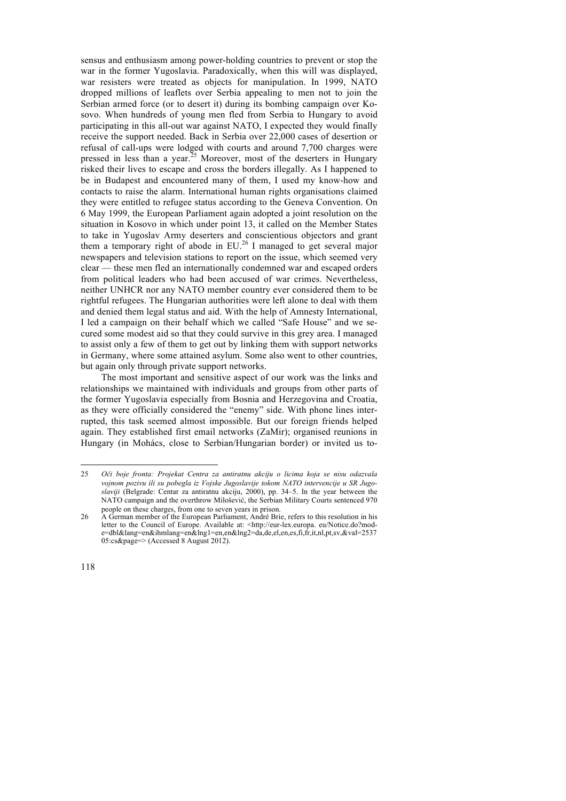sensus and enthusiasm among power-holding countries to prevent or stop the war in the former Yugoslavia. Paradoxically, when this will was displayed, war resisters were treated as objects for manipulation. In 1999, NATO dropped millions of leaflets over Serbia appealing to men not to join the Serbian armed force (or to desert it) during its bombing campaign over Kosovo. When hundreds of young men fled from Serbia to Hungary to avoid participating in this all-out war against NATO, I expected they would finally receive the support needed. Back in Serbia over 22,000 cases of desertion or refusal of call-ups were lodged with courts and around 7,700 charges were pressed in less than a year.<sup>25</sup> Moreover, most of the deserters in Hungary risked their lives to escape and cross the borders illegally. As I happened to be in Budapest and encountered many of them, I used my know-how and contacts to raise the alarm. International human rights organisations claimed they were entitled to refugee status according to the Geneva Convention. On 6 May 1999, the European Parliament again adopted a joint resolution on the situation in Kosovo in which under point 13, it called on the Member States to take in Yugoslav Army deserters and conscientious objectors and grant them a temporary right of abode in EU.<sup>26</sup> I managed to get several major newspapers and television stations to report on the issue, which seemed very clear — these men fled an internationally condemned war and escaped orders from political leaders who had been accused of war crimes. Nevertheless, neither UNHCR nor any NATO member country ever considered them to be rightful refugees. The Hungarian authorities were left alone to deal with them and denied them legal status and aid. With the help of Amnesty International, I led a campaign on their behalf which we called "Safe House" and we secured some modest aid so that they could survive in this grey area. I managed to assist only a few of them to get out by linking them with support networks in Germany, where some attained asylum. Some also went to other countries, but again only through private support networks.

The most important and sensitive aspect of our work was the links and relationships we maintained with individuals and groups from other parts of the former Yugoslavia especially from Bosnia and Herzegovina and Croatia, as they were officially considered the "enemy" side. With phone lines interrupted, this task seemed almost impossible. But our foreign friends helped again. They established first email networks (ZaMir); organised reunions in Hungary (in Mohács, close to Serbian/Hungarian border) or invited us to-

 <sup>25</sup> *<sup>O</sup>či boje fronta: Projekat Centra za antiratnu akciju o licima koja se nisu odazvala vojnom pozivu ili su pobegla iz Vojske Jugoslavije tokom NATO intervencije u SR Jugoslaviji* (Belgrade: Centar za antiratnu akciju, 2000), pp. 34–5. In the year between the NATO campaign and the overthrow Milošević, the Serbian Military Courts sentenced 970 people on these charges, from one to seven years in prison.

<sup>26</sup> A German member of the European Parliament, André Brie, refers to this resolution in his letter to the Council of Europe. Available at: <http://eur-lex.europa. eu/Notice.do?mode=dbl&lang=en&ihmlang=en&lng1=en,en&lng2=da,de,el,en,es,fi,fr,it,nl,pt,sv,&val=2537 05:cs&page=> (Accessed 8 August 2012).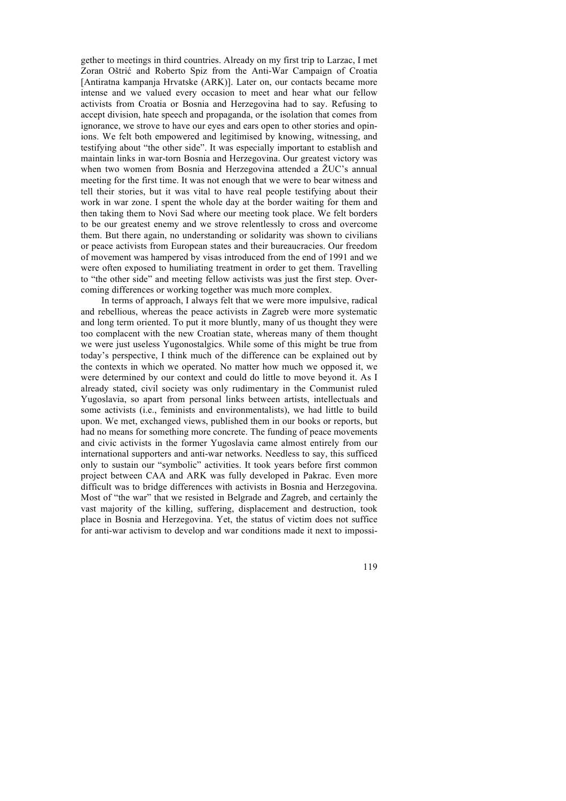gether to meetings in third countries. Already on my first trip to Larzac, I met Zoran Oštrić and Roberto Spiz from the Anti-War Campaign of Croatia [Antiratna kampanja Hrvatske (ARK)]. Later on, our contacts became more intense and we valued every occasion to meet and hear what our fellow activists from Croatia or Bosnia and Herzegovina had to say. Refusing to accept division, hate speech and propaganda, or the isolation that comes from ignorance, we strove to have our eyes and ears open to other stories and opinions. We felt both empowered and legitimised by knowing, witnessing, and testifying about "the other side". It was especially important to establish and maintain links in war-torn Bosnia and Herzegovina. Our greatest victory was when two women from Bosnia and Herzegovina attended a ŽUC's annual meeting for the first time. It was not enough that we were to bear witness and tell their stories, but it was vital to have real people testifying about their work in war zone. I spent the whole day at the border waiting for them and then taking them to Novi Sad where our meeting took place. We felt borders to be our greatest enemy and we strove relentlessly to cross and overcome them. But there again, no understanding or solidarity was shown to civilians or peace activists from European states and their bureaucracies. Our freedom of movement was hampered by visas introduced from the end of 1991 and we were often exposed to humiliating treatment in order to get them. Travelling to "the other side" and meeting fellow activists was just the first step. Overcoming differences or working together was much more complex.

In terms of approach, I always felt that we were more impulsive, radical and rebellious, whereas the peace activists in Zagreb were more systematic and long term oriented. To put it more bluntly, many of us thought they were too complacent with the new Croatian state, whereas many of them thought we were just useless Yugonostalgics. While some of this might be true from today's perspective, I think much of the difference can be explained out by the contexts in which we operated. No matter how much we opposed it, we were determined by our context and could do little to move beyond it. As I already stated, civil society was only rudimentary in the Communist ruled Yugoslavia, so apart from personal links between artists, intellectuals and some activists (i.e., feminists and environmentalists), we had little to build upon. We met, exchanged views, published them in our books or reports, but had no means for something more concrete. The funding of peace movements and civic activists in the former Yugoslavia came almost entirely from our international supporters and anti-war networks. Needless to say, this sufficed only to sustain our "symbolic" activities. It took years before first common project between CAA and ARK was fully developed in Pakrac. Even more difficult was to bridge differences with activists in Bosnia and Herzegovina. Most of "the war" that we resisted in Belgrade and Zagreb, and certainly the vast majority of the killing, suffering, displacement and destruction, took place in Bosnia and Herzegovina. Yet, the status of victim does not suffice for anti-war activism to develop and war conditions made it next to impossi-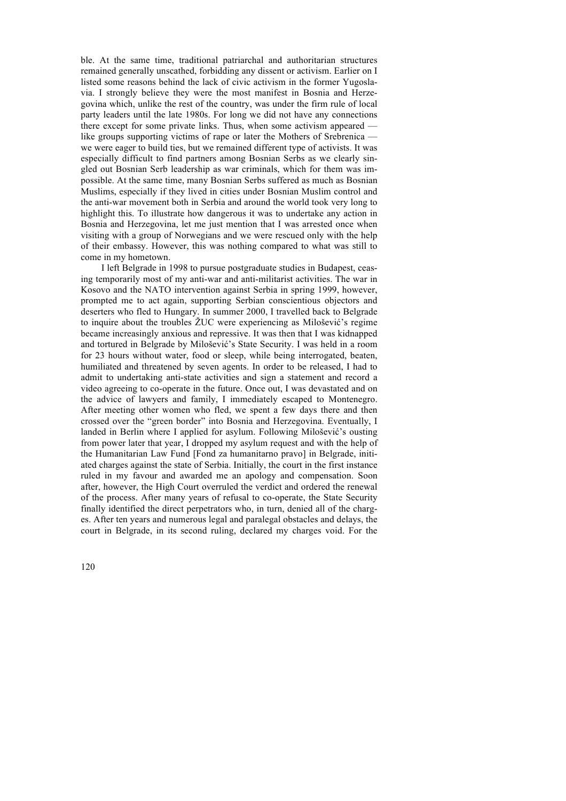ble. At the same time, traditional patriarchal and authoritarian structures remained generally unscathed, forbidding any dissent or activism. Earlier on I listed some reasons behind the lack of civic activism in the former Yugoslavia. I strongly believe they were the most manifest in Bosnia and Herzegovina which, unlike the rest of the country, was under the firm rule of local party leaders until the late 1980s. For long we did not have any connections there except for some private links. Thus, when some activism appeared like groups supporting victims of rape or later the Mothers of Srebrenica we were eager to build ties, but we remained different type of activists. It was especially difficult to find partners among Bosnian Serbs as we clearly singled out Bosnian Serb leadership as war criminals, which for them was impossible. At the same time, many Bosnian Serbs suffered as much as Bosnian Muslims, especially if they lived in cities under Bosnian Muslim control and the anti-war movement both in Serbia and around the world took very long to highlight this. To illustrate how dangerous it was to undertake any action in Bosnia and Herzegovina, let me just mention that I was arrested once when visiting with a group of Norwegians and we were rescued only with the help of their embassy. However, this was nothing compared to what was still to come in my hometown.

I left Belgrade in 1998 to pursue postgraduate studies in Budapest, ceasing temporarily most of my anti-war and anti-militarist activities. The war in Kosovo and the NATO intervention against Serbia in spring 1999, however, prompted me to act again, supporting Serbian conscientious objectors and deserters who fled to Hungary. In summer 2000, I travelled back to Belgrade to inquire about the troubles ŽUC were experiencing as Milošević's regime became increasingly anxious and repressive. It was then that I was kidnapped and tortured in Belgrade by Milošević's State Security. I was held in a room for 23 hours without water, food or sleep, while being interrogated, beaten, humiliated and threatened by seven agents. In order to be released, I had to admit to undertaking anti-state activities and sign a statement and record a video agreeing to co-operate in the future. Once out, I was devastated and on the advice of lawyers and family, I immediately escaped to Montenegro. After meeting other women who fled, we spent a few days there and then crossed over the "green border" into Bosnia and Herzegovina. Eventually, I landed in Berlin where I applied for asylum. Following Milošević's ousting from power later that year, I dropped my asylum request and with the help of the Humanitarian Law Fund [Fond za humanitarno pravo] in Belgrade, initiated charges against the state of Serbia. Initially, the court in the first instance ruled in my favour and awarded me an apology and compensation. Soon after, however, the High Court overruled the verdict and ordered the renewal of the process. After many years of refusal to co-operate, the State Security finally identified the direct perpetrators who, in turn, denied all of the charges. After ten years and numerous legal and paralegal obstacles and delays, the court in Belgrade, in its second ruling, declared my charges void. For the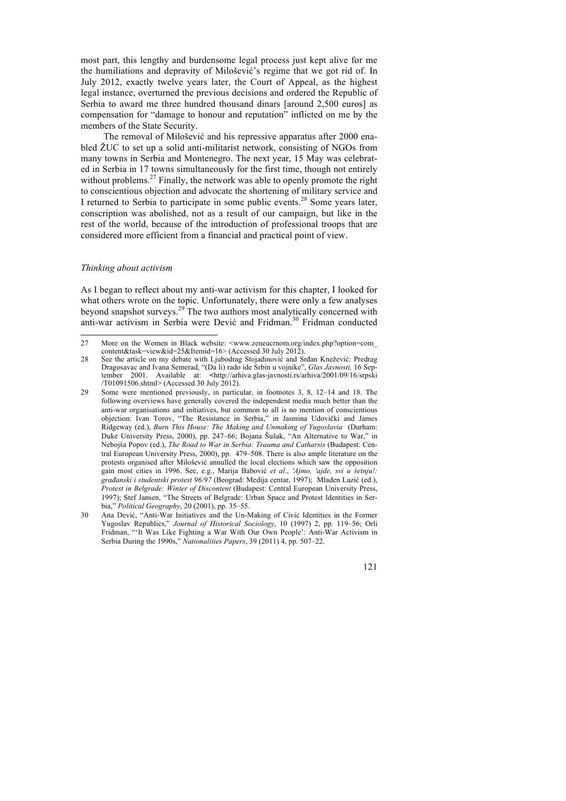most part, this lengthy and burdensome legal process just kept alive for me the humiliations and depravity of Milošević's regime that we got rid of. In July 2012, exactly twelve years later, the Court of Appeal, as the highest legal instance, overturned the previous decisions and ordered the Republic of Serbia to award me three hundred thousand dinars [around 2,500 euros] as compensation for "damage to honour and reputation" inflicted on me by the members of the State Security.

The removal of Milošević and his repressive apparatus after 2000 enabled ŽUC to set up a solid anti-militarist network, consisting of NGOs from many towns in Serbia and Montenegro. The next year, 15 May was celebrated in Serbia in 17 towns simultaneously for the first time, though not entirely without problems.<sup>27</sup> Finally, the network was able to openly promote the right to conscientious objection and advocate the shortening of military service and I returned to Serbia to participate in some public events.<sup>28</sup> Some years later, conscription was abolished, not as a result of our campaign, but like in the rest of the world, because of the introduction of professional troops that are considered more efficient from a financial and practical point of view.

## *Thinking about activism*

As I began to reflect about my anti-war activism for this chapter, I looked for what others wrote on the topic. Unfortunately, there were only a few analyses beyond snapshot surveys.<sup>29</sup> The two authors most analytically concerned with anti-war activism in Serbia were Dević and Fridman.<sup>30</sup> Fridman conducted

<sup>27</sup> More on the Women in Black website: <www.zeneucrnom.org/index.php?option=com\_ content&task=view&id=25&Itemid=16> (Accessed 30 July 2012).

<sup>28</sup> See the article on my debate with Ljubodrag Stojadinović and Srđan Knežević: Predrag Dragosavac and Ivana Semerad, "(Da li) rado ide Srbin u vojnike", *Glas Javnosti,* 16 September 2001. Available at: **<**http://arhiva.glas-javnosti.rs/arhiva/2001/09/16/srpski /T01091506.shtml> (Accessed 30 July 2012).

<sup>29</sup> Some were mentioned previously, in particular, in footnotes 3, 8, 12–14 and 18. The following overviews have generally covered the independent media much better than the anti-war organisations and initiatives, but common to all is no mention of conscientious objection: Ivan Torov, "The Resistance in Serbia," in Jasmina Udovički and James Ridgeway (ed.), *Burn This House: The Making and Unmaking of Yugoslavia* (Durham: Duke University Press, 2000), pp. 247–66; Bojana Šušak, "An Alternative to War," in Nebojša Popov (ed.), *The Road to War in Serbia: Trauma and Catharsis* (Budapest: Central European University Press, 2000), pp. 479–508. There is also ample literature on the protests organised after Milošević annulled the local elections which saw the opposition gain most cities in 1996. See, e.g., Marija Babović *et al*., *'Ajmo, 'ajde, svi u šetnju!: građanski i studentski protest 96/97* (Beograd: Medija centar, 1997); Mladen Lazić (ed.), *Protest in Belgrade: Winter of Discontent* (Budapest: Central European University Press, 1997); Stef Jansen, "The Streets of Belgrade: Urban Space and Protest Identities in Serbia," *Political Geography*, 20 (2001), pp. 35–55.

<sup>30</sup> Ana Dević, "Anti-War Initiatives and the Un-Making of Civic Identities in the Former Yugoslav Republics," *Journal of Historical Sociology*, 10 (1997) 2, pp. 119–56; Orli Fridman, "'It Was Like Fighting a War With Our Own People': Anti-War Activism in Serbia During the 1990s," *Nationalities Papers*, 39 (2011) 4, pp. 507–22.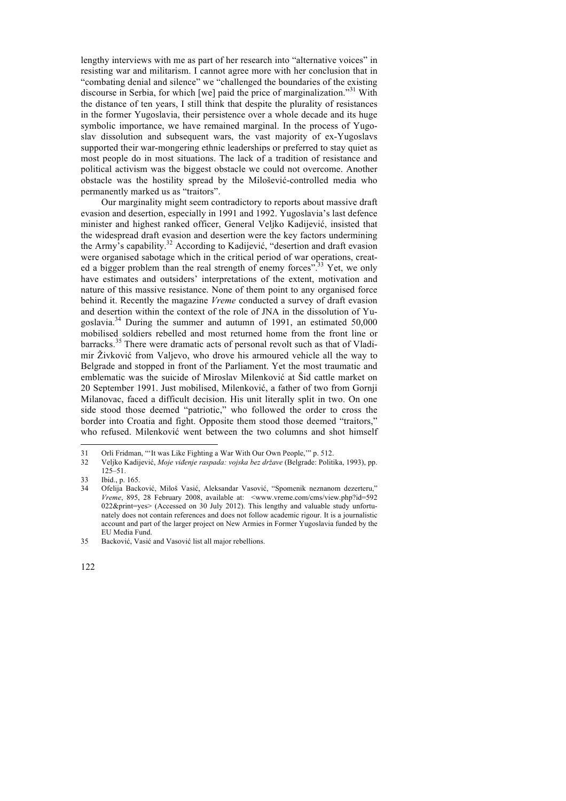lengthy interviews with me as part of her research into "alternative voices" in resisting war and militarism. I cannot agree more with her conclusion that in "combating denial and silence" we "challenged the boundaries of the existing discourse in Serbia, for which [we] paid the price of marginalization.<sup>31</sup> With the distance of ten years, I still think that despite the plurality of resistances in the former Yugoslavia, their persistence over a whole decade and its huge symbolic importance, we have remained marginal. In the process of Yugoslav dissolution and subsequent wars, the vast majority of ex-Yugoslavs supported their war-mongering ethnic leaderships or preferred to stay quiet as most people do in most situations. The lack of a tradition of resistance and political activism was the biggest obstacle we could not overcome. Another obstacle was the hostility spread by the Milošević-controlled media who permanently marked us as "traitors".

Our marginality might seem contradictory to reports about massive draft evasion and desertion, especially in 1991 and 1992. Yugoslavia's last defence minister and highest ranked officer, General Veljko Kadijević, insisted that the widespread draft evasion and desertion were the key factors undermining the Army's capability.32 According to Kadijević, "desertion and draft evasion were organised sabotage which in the critical period of war operations, created a bigger problem than the real strength of enemy forces".<sup>33</sup> Yet, we only have estimates and outsiders' interpretations of the extent, motivation and nature of this massive resistance. None of them point to any organised force behind it. Recently the magazine *Vreme* conducted a survey of draft evasion and desertion within the context of the role of JNA in the dissolution of Yugoslavia.<sup>34</sup> During the summer and autumn of 1991, an estimated  $50,000$ mobilised soldiers rebelled and most returned home from the front line or barracks.<sup>35</sup> There were dramatic acts of personal revolt such as that of Vladimir Živković from Valjevo, who drove his armoured vehicle all the way to Belgrade and stopped in front of the Parliament. Yet the most traumatic and emblematic was the suicide of Miroslav Milenković at Šid cattle market on 20 September 1991. Just mobilised, Milenković, a father of two from Gornji Milanovac, faced a difficult decision. His unit literally split in two. On one side stood those deemed "patriotic," who followed the order to cross the border into Croatia and fight. Opposite them stood those deemed "traitors," who refused. Milenković went between the two columns and shot himself

<sup>31</sup> Orli Fridman, "'It was Like Fighting a War With Our Own People," p. 512.<br>32 Veliko Kadijević, *Moje viđenje raspada: vojska bez države (Belgrade: Politi* 

<sup>32</sup> Veljko Kadijević, *Moje viđenje raspada: vojska bez države* (Belgrade: Politika, 1993), pp. 125–51.

<sup>33</sup> Ibid., p. 165.

<sup>34</sup> Ofelija Backović, Miloš Vasić, Aleksandar Vasović, "Spomenik neznanom dezerteru," *Vreme*, 895, 28 February 2008, available at: <www.vreme.com/cms/view.php?id=592 022&print=yes> (Accessed on 30 July 2012). This lengthy and valuable study unfortunately does not contain references and does not follow academic rigour. It is a journalistic account and part of the larger project on New Armies in Former Yugoslavia funded by the EU Media Fund.

<sup>35</sup> Backović, Vasić and Vasović list all major rebellions.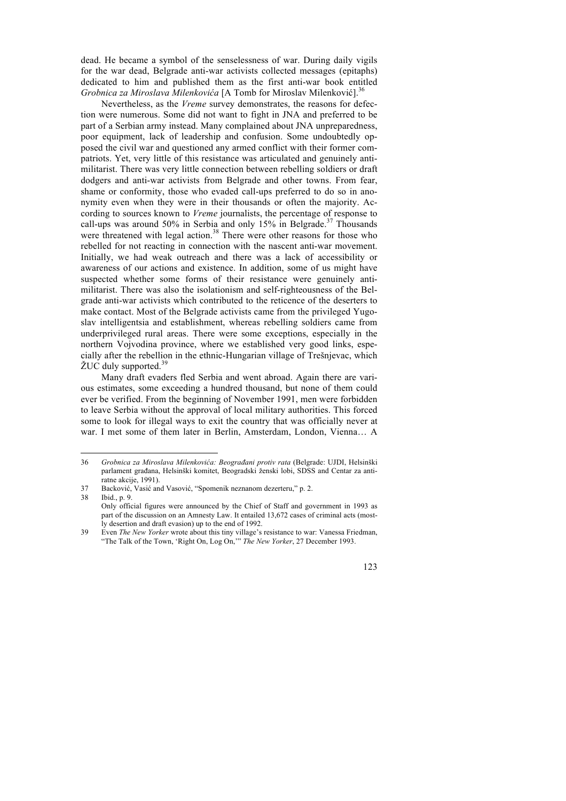dead. He became a symbol of the senselessness of war. During daily vigils for the war dead, Belgrade anti-war activists collected messages (epitaphs) dedicated to him and published them as the first anti-war book entitled *Grobnica za Miroslava Milenkovića* [A Tomb for Miroslav Milenković].<sup>36</sup>

Nevertheless, as the *Vreme* survey demonstrates, the reasons for defection were numerous. Some did not want to fight in JNA and preferred to be part of a Serbian army instead. Many complained about JNA unpreparedness, poor equipment, lack of leadership and confusion. Some undoubtedly opposed the civil war and questioned any armed conflict with their former compatriots. Yet, very little of this resistance was articulated and genuinely antimilitarist. There was very little connection between rebelling soldiers or draft dodgers and anti-war activists from Belgrade and other towns. From fear, shame or conformity, those who evaded call-ups preferred to do so in anonymity even when they were in their thousands or often the majority. According to sources known to *Vreme* journalists, the percentage of response to call-ups was around 50% in Serbia and only 15% in Belgrade.<sup>37</sup> Thousands were threatened with legal action.<sup>38</sup> There were other reasons for those who rebelled for not reacting in connection with the nascent anti-war movement. Initially, we had weak outreach and there was a lack of accessibility or awareness of our actions and existence. In addition, some of us might have suspected whether some forms of their resistance were genuinely antimilitarist. There was also the isolationism and self-righteousness of the Belgrade anti-war activists which contributed to the reticence of the deserters to make contact. Most of the Belgrade activists came from the privileged Yugoslav intelligentsia and establishment, whereas rebelling soldiers came from underprivileged rural areas. There were some exceptions, especially in the northern Vojvodina province, where we established very good links, especially after the rebellion in the ethnic-Hungarian village of Trešnjevac, which  $\text{ZUC}$  duly supported.<sup>39</sup>

Many draft evaders fled Serbia and went abroad. Again there are various estimates, some exceeding a hundred thousand, but none of them could ever be verified. From the beginning of November 1991, men were forbidden to leave Serbia without the approval of local military authorities. This forced some to look for illegal ways to exit the country that was officially never at war. I met some of them later in Berlin, Amsterdam, London, Vienna… A

<sup>39</sup> Even *The New Yorker* wrote about this tiny village's resistance to war: Vanessa Friedman, "The Talk of the Town, 'Right On, Log On,'" *The New Yorker*, 27 December 1993.



 <sup>36</sup> *Grobnica za Miroslava Milenkovića: Beograđani protiv rata* (Belgrade: UJDI, Helsinški parlament građana, Helsinški komitet, Beogradski ženski lobi, SDSS and Centar za antiratne akcije, 1991).

<sup>37</sup> Backović, Vasić and Vasović, "Spomenik neznanom dezerteru," p. 2.

<sup>38</sup> Ibid., p. 9.

Only official figures were announced by the Chief of Staff and government in 1993 as part of the discussion on an Amnesty Law. It entailed 13,672 cases of criminal acts (mostly desertion and draft evasion) up to the end of 1992.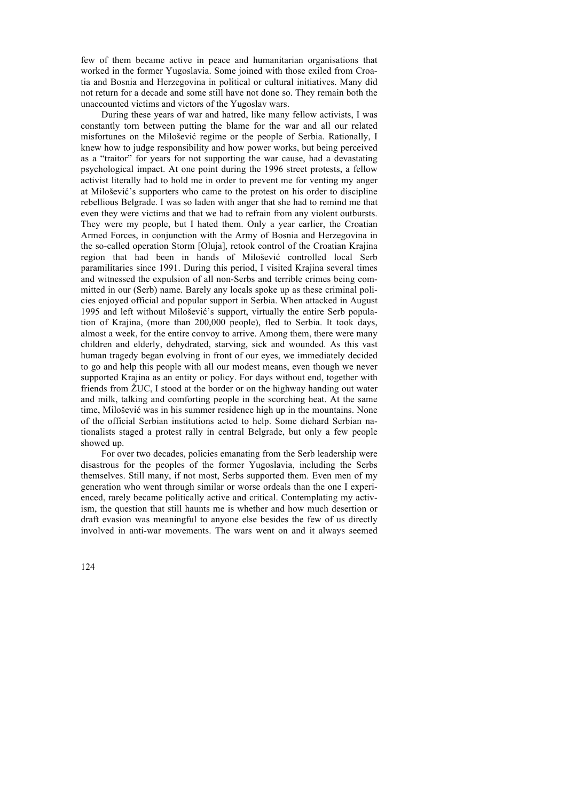few of them became active in peace and humanitarian organisations that worked in the former Yugoslavia. Some joined with those exiled from Croatia and Bosnia and Herzegovina in political or cultural initiatives. Many did not return for a decade and some still have not done so. They remain both the unaccounted victims and victors of the Yugoslav wars.

During these years of war and hatred, like many fellow activists, I was constantly torn between putting the blame for the war and all our related misfortunes on the Milošević regime or the people of Serbia. Rationally, I knew how to judge responsibility and how power works, but being perceived as a "traitor" for years for not supporting the war cause, had a devastating psychological impact. At one point during the 1996 street protests, a fellow activist literally had to hold me in order to prevent me for venting my anger at Milošević's supporters who came to the protest on his order to discipline rebellious Belgrade. I was so laden with anger that she had to remind me that even they were victims and that we had to refrain from any violent outbursts. They were my people, but I hated them. Only a year earlier, the Croatian Armed Forces, in conjunction with the Army of Bosnia and Herzegovina in the so-called operation Storm [Oluja], retook control of the Croatian Krajina region that had been in hands of Milošević controlled local Serb paramilitaries since 1991. During this period, I visited Krajina several times and witnessed the expulsion of all non-Serbs and terrible crimes being committed in our (Serb) name. Barely any locals spoke up as these criminal policies enjoyed official and popular support in Serbia. When attacked in August 1995 and left without Milošević's support, virtually the entire Serb population of Krajina, (more than 200,000 people), fled to Serbia. It took days, almost a week, for the entire convoy to arrive. Among them, there were many children and elderly, dehydrated, starving, sick and wounded. As this vast human tragedy began evolving in front of our eyes, we immediately decided to go and help this people with all our modest means, even though we never supported Krajina as an entity or policy. For days without end, together with friends from ŽUC, I stood at the border or on the highway handing out water and milk, talking and comforting people in the scorching heat. At the same time, Milošević was in his summer residence high up in the mountains. None of the official Serbian institutions acted to help. Some diehard Serbian nationalists staged a protest rally in central Belgrade, but only a few people showed up.

For over two decades, policies emanating from the Serb leadership were disastrous for the peoples of the former Yugoslavia, including the Serbs themselves. Still many, if not most, Serbs supported them. Even men of my generation who went through similar or worse ordeals than the one I experienced, rarely became politically active and critical. Contemplating my activism, the question that still haunts me is whether and how much desertion or draft evasion was meaningful to anyone else besides the few of us directly involved in anti-war movements. The wars went on and it always seemed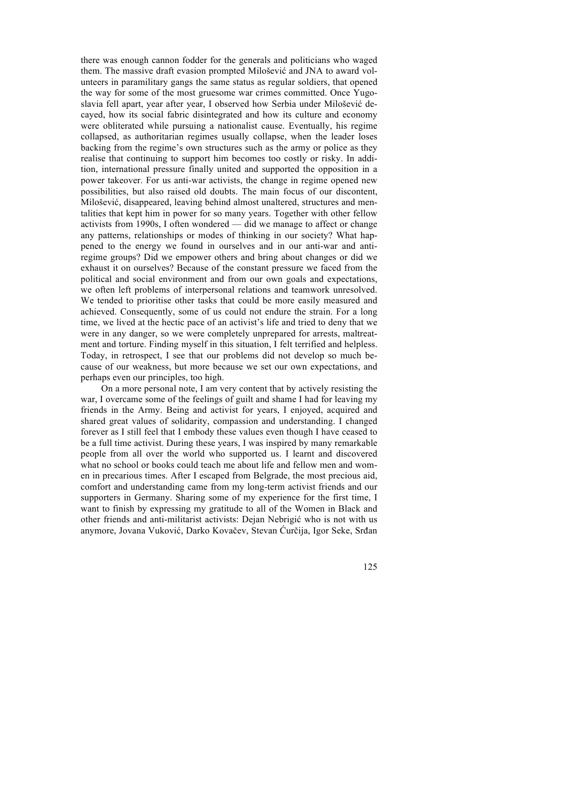there was enough cannon fodder for the generals and politicians who waged them. The massive draft evasion prompted Milošević and JNA to award volunteers in paramilitary gangs the same status as regular soldiers, that opened the way for some of the most gruesome war crimes committed. Once Yugoslavia fell apart, year after year, I observed how Serbia under Milošević decayed, how its social fabric disintegrated and how its culture and economy were obliterated while pursuing a nationalist cause. Eventually, his regime collapsed, as authoritarian regimes usually collapse, when the leader loses backing from the regime's own structures such as the army or police as they realise that continuing to support him becomes too costly or risky. In addition, international pressure finally united and supported the opposition in a power takeover. For us anti-war activists, the change in regime opened new possibilities, but also raised old doubts. The main focus of our discontent, Milošević, disappeared, leaving behind almost unaltered, structures and mentalities that kept him in power for so many years. Together with other fellow activists from 1990s, I often wondered — did we manage to affect or change any patterns, relationships or modes of thinking in our society? What happened to the energy we found in ourselves and in our anti-war and antiregime groups? Did we empower others and bring about changes or did we exhaust it on ourselves? Because of the constant pressure we faced from the political and social environment and from our own goals and expectations, we often left problems of interpersonal relations and teamwork unresolved. We tended to prioritise other tasks that could be more easily measured and achieved. Consequently, some of us could not endure the strain. For a long time, we lived at the hectic pace of an activist's life and tried to deny that we were in any danger, so we were completely unprepared for arrests, maltreatment and torture. Finding myself in this situation, I felt terrified and helpless. Today, in retrospect, I see that our problems did not develop so much because of our weakness, but more because we set our own expectations, and perhaps even our principles, too high.

On a more personal note, I am very content that by actively resisting the war, I overcame some of the feelings of guilt and shame I had for leaving my friends in the Army. Being and activist for years, I enjoyed, acquired and shared great values of solidarity, compassion and understanding. I changed forever as I still feel that I embody these values even though I have ceased to be a full time activist. During these years, I was inspired by many remarkable people from all over the world who supported us. I learnt and discovered what no school or books could teach me about life and fellow men and women in precarious times. After I escaped from Belgrade, the most precious aid, comfort and understanding came from my long-term activist friends and our supporters in Germany. Sharing some of my experience for the first time, I want to finish by expressing my gratitude to all of the Women in Black and other friends and anti-militarist activists: Dejan Nebrigić who is not with us anymore, Jovana Vuković, Darko Kovačev, Stevan Ćurčija, Igor Seke, Srđan